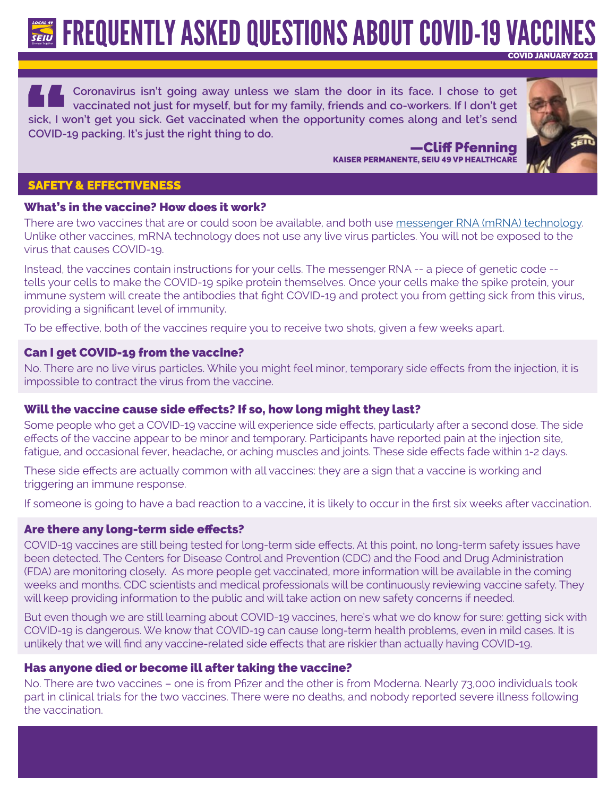**FREQUENTLY ASKED QUESTIONS ABOUT COVID-19 VACCI** COVID JANUARY 2021

**Coronavirus isn't going away unless we slam the door in its face. I chose to get vaccinated not just for myself, but for my family, friends and co-workers. If I don't get sick, I won't get you sick. Get vaccinated when the opportunity comes along and let's send COVID-19 packing. It's just the right thing to do.**

> —Cliff Pfenning KAISER PERMANENTE, SEIU 49 VP HEALTHCARE



## SAFETY & EFFECTIVENESS

# What's in the vaccine? How does it work?

There are two vaccines that are or could soon be available, and both use [messenger RNA \(mRNA\) technology](https://www.nbcnews.com/science/science-news/what-mrna-how-pfizer-moderna-tapped-new-tech-make-coronavirus-n1248054). Unlike other vaccines, mRNA technology does not use any live virus particles. You will not be exposed to the virus that causes COVID-19.

Instead, the vaccines contain instructions for your cells. The messenger RNA -- a piece of genetic code - tells your cells to make the COVID-19 spike protein themselves. Once your cells make the spike protein, your immune system will create the antibodies that fight COVID-19 and protect you from getting sick from this virus, providing a significant level of immunity.

To be effective, both of the vaccines require you to receive two shots, given a few weeks apart.

# Can I get COVID-19 from the vaccine?

No. There are no live virus particles. While you might feel minor, temporary side effects from the injection, it is impossible to contract the virus from the vaccine.

# Will the vaccine cause side effects? If so, how long might they last?

Some people who get a COVID-19 vaccine will experience side effects, particularly after a second dose. The side effects of the vaccine appear to be minor and temporary. Participants have reported pain at the injection site, fatigue, and occasional fever, headache, or aching muscles and joints. These side effects fade within 1-2 days.

These side effects are actually common with all vaccines: they are a sign that a vaccine is working and triggering an immune response.

If someone is going to have a bad reaction to a vaccine, it is likely to occur in the first six weeks after vaccination.

# Are there any long-term side effects?

COVID-19 vaccines are still being tested for long-term side effects. At this point, no long-term safety issues have been detected. The Centers for Disease Control and Prevention (CDC) and the Food and Drug Administration (FDA) are monitoring closely. As more people get vaccinated, more information will be available in the coming weeks and months. CDC scientists and medical professionals will be continuously reviewing vaccine safety. They will keep providing information to the public and will take action on new safety concerns if needed.

But even though we are still learning about COVID-19 vaccines, here's what we do know for sure: getting sick with COVID-19 is dangerous. We know that COVID-19 can cause long-term health problems, even in mild cases. It is unlikely that we will find any vaccine-related side effects that are riskier than actually having COVID-19.

# Has anyone died or become ill after taking the vaccine?

No. There are two vaccines – one is from Pfizer and the other is from Moderna. Nearly 73,000 individuals took part in clinical trials for the two vaccines. There were no deaths, and nobody reported severe illness following the vaccination.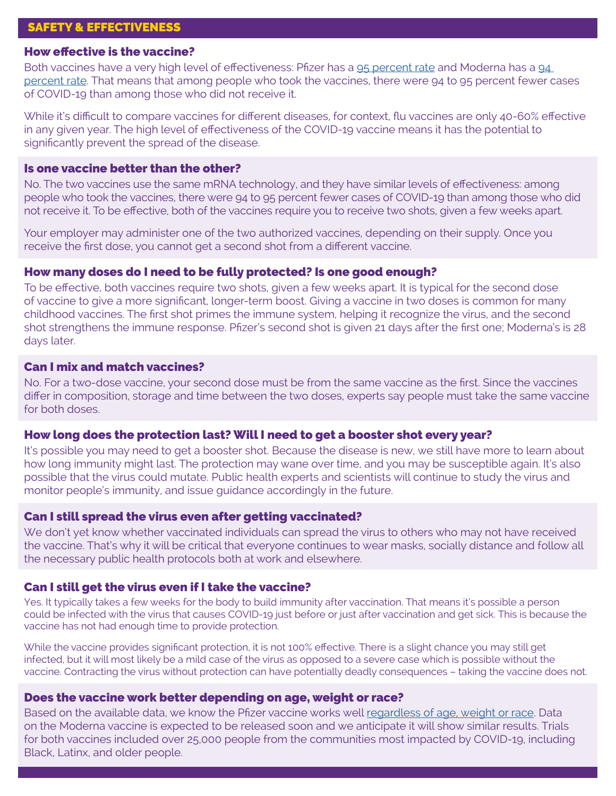# SAFETY & EFFECTIVENESS

#### How effective is the vaccine?

Both vaccines have a very high level of effectiveness: Pfizer has a [95 percent rate](https://www.nytimes.com/live/2020/pfizer-covid-19-vaccine) and Moderna has a 94 [percent rate](https://www.nytimes.com/2020/11/16/health/Covid-moderna-vaccine.html). That means that among people who took the vaccines, there were 94 to 95 percent fewer cases of COVID-19 than among those who did not receive it.

While it's difficult to compare vaccines for different diseases, for context, flu vaccines are only 40-60% effective in any given year. The high level of effectiveness of the COVID-19 vaccine means it has the potential to significantly prevent the spread of the disease.

# Is one vaccine better than the other?

No. The two vaccines use the same mRNA technology, and they have similar levels of effectiveness: among people who took the vaccines, there were 94 to 95 percent fewer cases of COVID-19 than among those who did not receive it. To be effective, both of the vaccines require you to receive two shots, given a few weeks apart.

Your employer may administer one of the two authorized vaccines, depending on their supply. Once you receive the first dose, you cannot get a second shot from a different vaccine.

## How many doses do I need to be fully protected? Is one good enough?

To be effective, both vaccines require two shots, given a few weeks apart. It is typical for the second dose of vaccine to give a more significant, longer-term boost. Giving a vaccine in two doses is common for many childhood vaccines. The first shot primes the immune system, helping it recognize the virus, and the second shot strengthens the immune response. Pfizer's second shot is given 21 days after the first one; Moderna's is 28 days later.

#### Can I mix and match vaccines?

No. For a two-dose vaccine, your second dose must be from the same vaccine as the first. Since the vaccines differ in composition, storage and time between the two doses, experts say people must take the same vaccine for both doses.

#### How long does the protection last? Will I need to get a booster shot every year?

It's possible you may need to get a booster shot. Because the disease is new, we still have more to learn about how long immunity might last. The protection may wane over time, and you may be susceptible again. It's also possible that the virus could mutate. Public health experts and scientists will continue to study the virus and monitor people's immunity, and issue guidance accordingly in the future.

#### Can I still spread the virus even after getting vaccinated?

We don't yet know whether vaccinated individuals can spread the virus to others who may not have received the vaccine. That's why it will be critical that everyone continues to wear masks, socially distance and follow all the necessary public health protocols both at work and elsewhere.

#### Can I still get the virus even if I take the vaccine?

Yes. It typically takes a few weeks for the body to build immunity after vaccination. That means it's possible a person could be infected with the virus that causes COVID-19 just before or just after vaccination and get sick. This is because the vaccine has not had enough time to provide protection.

While the vaccine provides significant protection, it is not 100% effective. There is a slight chance you may still get infected, but it will most likely be a mild case of the virus as opposed to a severe case which is possible without the vaccine. Contracting the virus without protection can have potentially deadly consequences – taking the vaccine does not.

#### Does the vaccine work better depending on age, weight or race?

Based on the available data, we know the Pfizer vaccine works well [regardless of age, weight or race.](https://www.nytimes.com/2020/12/08/health/covid-vaccine-pfizer.html) Data on the Moderna vaccine is expected to be released soon and we anticipate it will show similar results. Trials for both vaccines included over 25,000 people from the communities most impacted by COVID-19, including Black, Latinx, and older people.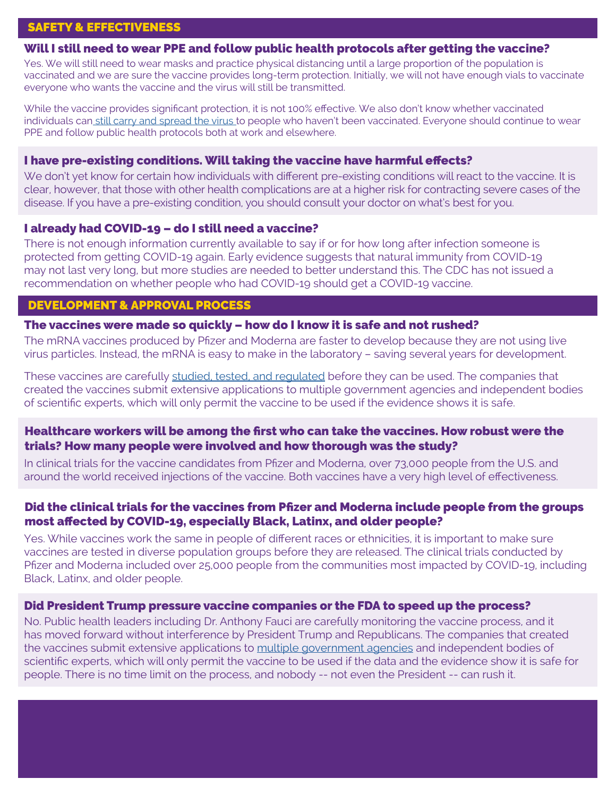# SAFETY & EFFECTIVENESS

# Will I still need to wear PPE and follow public health protocols after getting the vaccine?

Yes. We will still need to wear masks and practice physical distancing until a large proportion of the population is vaccinated and we are sure the vaccine provides long-term protection. Initially, we will not have enough vials to vaccinate everyone who wants the vaccine and the virus will still be transmitted.

While the vaccine provides significant protection, it is not 100% effective. We also don't know whether vaccinated individuals ca[n still carry and spread the virus t](https://www.nytimes.com/2020/12/08/health/covid-vaccine-mask.html)o people who haven't been vaccinated. Everyone should continue to wear PPE and follow public health protocols both at work and elsewhere.

## I have pre-existing conditions. Will taking the vaccine have harmful effects?

We don't yet know for certain how individuals with different pre-existing conditions will react to the vaccine. It is clear, however, that those with other health complications are at a higher risk for contracting severe cases of the disease. If you have a pre-existing condition, you should consult your doctor on what's best for you.

# I already had COVID-19 – do I still need a vaccine?

There is not enough information currently available to say if or for how long after infection someone is protected from getting COVID-19 again. Early evidence suggests that natural immunity from COVID-19 may not last very long, but more studies are needed to better understand this. The CDC has not issued a recommendation on whether people who had COVID-19 should get a COVID-19 vaccine.

# DEVELOPMENT & APPROVAL PROCESS

## The vaccines were made so quickly – how do I know it is safe and not rushed?

The mRNA vaccines produced by Pfizer and Moderna are faster to develop because they are not using live virus particles. Instead, the mRNA is easy to make in the laboratory – saving several years for development.

These vaccines are carefully [studied, tested, and regulated](https://www.nytimes.com/article/covid-vaccine-a-b.html) before they can be used. The companies that created the vaccines submit extensive applications to multiple government agencies and independent bodies of scientific experts, which will only permit the vaccine to be used if the evidence shows it is safe.

# Healthcare workers will be among the first who can take the vaccines. How robust were the trials? How many people were involved and how thorough was the study?

In clinical trials for the vaccine candidates from Pfizer and Moderna, over 73,000 people from the U.S. and around the world received injections of the vaccine. Both vaccines have a very high level of effectiveness.

# Did the clinical trials for the vaccines from Pfizer and Moderna include people from the groups most affected by COVID-19, especially Black, Latinx, and older people?

Yes. While vaccines work the same in people of different races or ethnicities, it is important to make sure vaccines are tested in diverse population groups before they are released. The clinical trials conducted by Pfizer and Moderna included over 25,000 people from the communities most impacted by COVID-19, including Black, Latinx, and older people.

## Did President Trump pressure vaccine companies or the FDA to speed up the process?

No. Public health leaders including Dr. Anthony Fauci are carefully monitoring the vaccine process, and it has moved forward without interference by President Trump and Republicans. The companies that created the vaccines submit extensive applications to [multiple government agencies](https://www.washingtonpost.com/opinions/fda-commissioner-no-matter-what-only-a-safe-effective-vaccine-will-get-our-approval/2020/08/05/e897d920-d74e-11ea-aff6-220dd3a14741_story.html) and independent bodies of scientific experts, which will only permit the vaccine to be used if the data and the evidence show it is safe for people. There is no time limit on the process, and nobody -- not even the President -- can rush it.